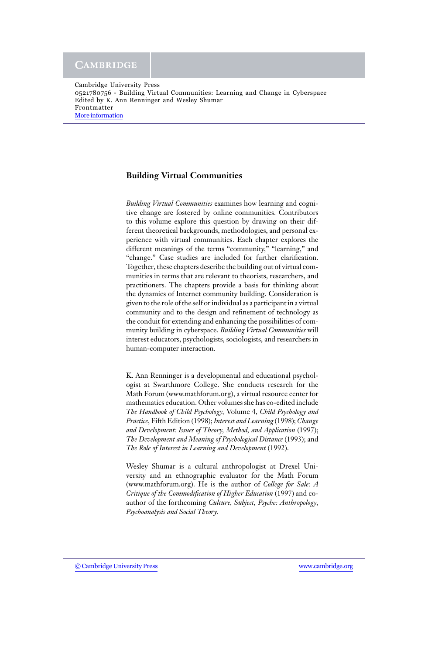### **Building Virtual Communities**

*Building Virtual Communities* examines how learning and cognitive change are fostered by online communities. Contributors to this volume explore this question by drawing on their different theoretical backgrounds, methodologies, and personal experience with virtual communities. Each chapter explores the different meanings of the terms "community," "learning," and "change." Case studies are included for further clarification. Together, these chapters describe the building out of virtual communities in terms that are relevant to theorists, researchers, and practitioners. The chapters provide a basis for thinking about the dynamics of Internet community building. Consideration is given to the role of the self or individual as a participant in a virtual community and to the design and refinement of technology as the conduit for extending and enhancing the possibilities of community building in cyberspace. *Building Virtual Communities* will interest educators, psychologists, sociologists, and researchers in human-computer interaction.

K. Ann Renninger is a developmental and educational psychologist at Swarthmore College. She conducts research for the Math Forum (www.mathforum.org), a virtual resource center for mathematics education. Other volumes she has co-edited include *The Handbook of Child Psychology,* Volume 4, *Child Psychology and Practice*, Fifth Edition (1998);*Interest and Learning* (1998); *Change and Development: Issues of Theory, Method, and Application* (1997); *The Development and Meaning of Psychological Distance* (1993); and *The Role of Interest in Learning and Development* (1992).

Wesley Shumar is a cultural anthropologist at Drexel University and an ethnographic evaluator for the Math Forum (www.mathforum.org). He is the author of *College for Sale: A Critique of the Commodification of Higher Education* (1997) and coauthor of the forthcoming *Culture, Subject, Psyche: Anthropology, Psychoanalysis and Social Theory.*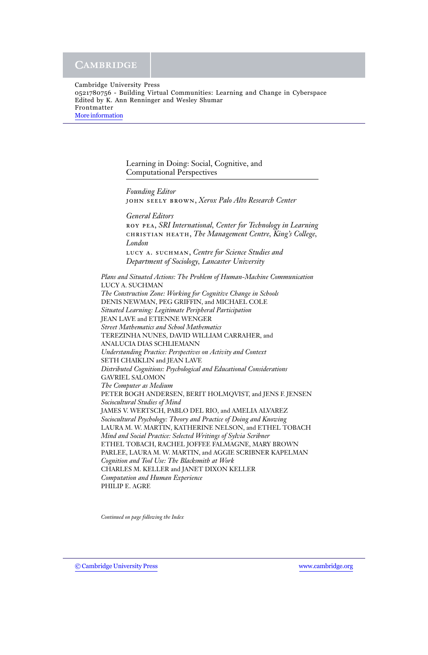Learning in Doing: Social, Cognitive, and Computational Perspectives

*Founding Editor*

john seely brown, *Xerox Palo Alto Research Center*

*General Editors*

roy pea, *SRI International, Center for Technology in Learning* christian heath, *The Management Centre, King's College, London* lucy a. suchman, *Centre for Science Studies and Department of Sociology, Lancaster University*

*Plans and Situated Actions: The Problem of Human-Machine Communication* LUCY A. SUCHMAN *The Construction Zone: Working for Cognitive Change in Schools* DENIS NEWMAN, PEG GRIFFIN, and MICHAEL COLE *Situated Learning: Legitimate Peripheral Participation* JEAN LAVE and ETIENNE WENGER *Street Mathematics and School Mathematics* TEREZINHA NUNES, DAVID WILLIAM CARRAHER, and ANALUCIA DIAS SCHLIEMANN *Understanding Practice: Perspectives on Activity and Context* SETH CHAIKLIN and JEAN LAVE *Distributed Cognitions: Psychological and Educational Considerations* GAVRIEL SALOMON *The Computer as Medium* PETER BOGH ANDERSEN, BERIT HOLMQVIST, and JENS F. JENSEN *Sociocultural Studies of Mind* JAMES V. WERTSCH, PABLO DEL RIO, and AMELIA ALVAREZ *Sociocultural Psychology: Theory and Practice of Doing and Knowing* LAURA M. W. MARTIN, KATHERINE NELSON, and ETHEL TOBACH *Mind and Social Practice: Selected Writings of Sylvia Scribner* ETHEL TOBACH, RACHEL JOFFEE FALMAGNE, MARY BROWN PARLEE, LAURA M. W. MARTIN, and AGGIE SCRIBNER KAPELMAN *Cognition and Tool Use: The Blacksmith at Work* CHARLES M. KELLER and JANET DIXON KELLER *Computation and Human Experience* PHILIP E. AGRE

*Continued on page following the Index*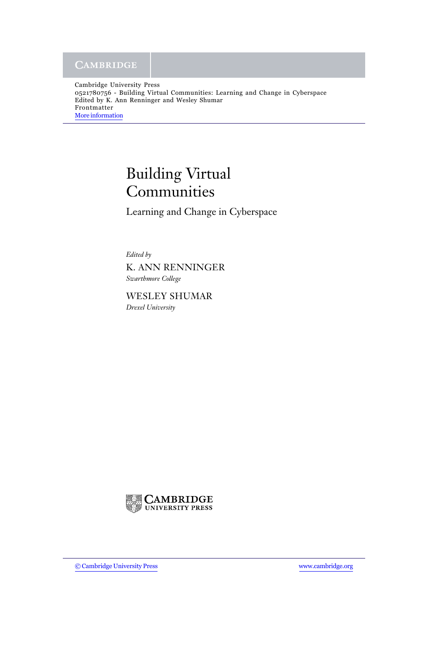# Building Virtual **Communities**

Learning and Change in Cyberspace

*Edited by* K. ANN RENNINGER *Swarthmore College*

WESLEY SHUMAR *Drexel University*

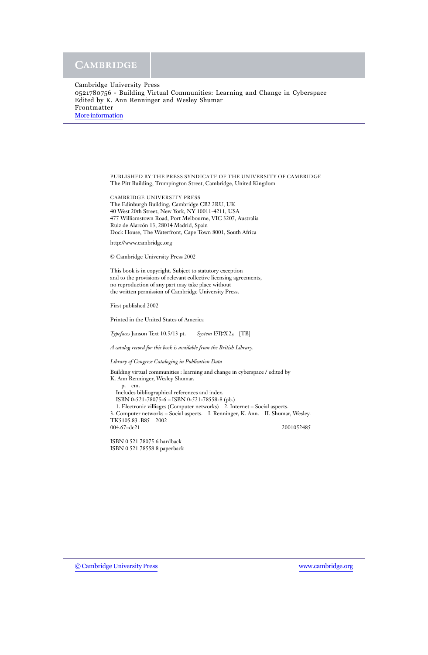> PUBLISHED BY THE PRESS SYNDICATE OF THE UNIVERSITY OF CAMBRIDGE The Pitt Building, Trumpington Street, Cambridge, United Kingdom

CAMBRIDGE UNIVERSITY PRESS The Edinburgh Building, Cambridge CB2 2RU, UK 40 West 20th Street, New York, NY 10011-4211, USA 477 Williamstown Road, Port Melbourne, VIC 3207, Australia Ruiz de Alarcón 13, 28014 Madrid, Spain Dock House, The Waterfront, Cape Town 8001, South Africa

http://www.cambridge.org

<sup>C</sup> Cambridge University Press 2002

This book is in copyright. Subject to statutory exception and to the provisions of relevant collective licensing agreements, no reproduction of any part may take place without the written permission of Cambridge University Press.

First published 2002

Printed in the United States of America

*Typefaces* Janson Text 10.5/13 pt. *System* LATEX 2ε [TB]

*A catalog record for this book is available from the British Library.*

*Library of Congress Cataloging in Publication Data*

Building virtual communities : learning and change in cyberspace / edited by K. Ann Renninger, Wesley Shumar. p. cm. Includes bibliographical references and index. ISBN 0-521-78075-6 – ISBN 0-521-78558-8 (pb.) 1. Electronic villiages (Computer networks) 2. Internet – Social aspects. 3. Computer networks – Social aspects. I. Renninger, K. Ann. II. Shumar, Wesley. TK5105.83 .B85 2002 004.67–dc21 2001052485

ISBN 0 521 78075 6 hardback ISBN 0 521 78558 8 paperback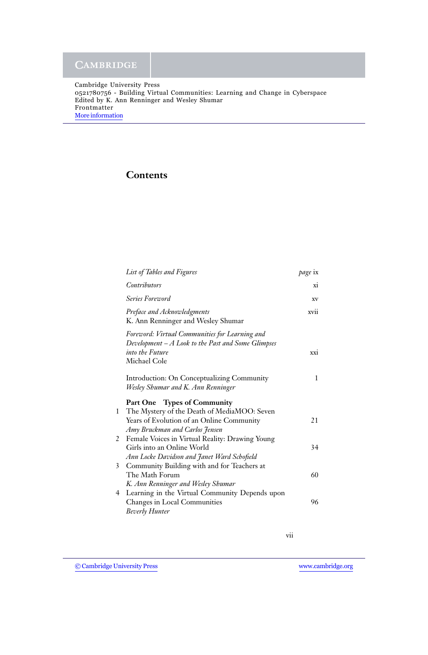# **Contents**

|   | List of Tables and Figures                                                                            | page ix |
|---|-------------------------------------------------------------------------------------------------------|---------|
|   | <b>Contributors</b>                                                                                   | xi      |
|   | <b>Series Foreword</b>                                                                                | XV      |
|   | Preface and Acknowledgments<br>K. Ann Renninger and Wesley Shumar                                     | xvii    |
|   | Foreword: Virtual Communities for Learning and<br>Development $-A$ Look to the Past and Some Glimpses |         |
|   | into the Future<br>Michael Cole                                                                       | xxi     |
|   | Introduction: On Conceptualizing Community<br>Wesley Shumar and K. Ann Renninger                      | 1       |
|   | Part One Types of Community                                                                           |         |
| 1 | The Mystery of the Death of MediaMOO: Seven                                                           |         |
|   | Years of Evolution of an Online Community                                                             | 21      |
|   | Amy Bruckman and Carlos Jensen                                                                        |         |
|   | 2 Female Voices in Virtual Reality: Drawing Young                                                     |         |
|   | Girls into an Online World                                                                            | 34      |
|   | Ann Locke Davidson and Janet Ward Schofield                                                           |         |
| 3 | Community Building with and for Teachers at                                                           |         |
|   | The Math Forum                                                                                        | 60      |
|   | K. Ann Renninger and Wesley Shumar                                                                    |         |
| 4 | Learning in the Virtual Community Depends upon                                                        |         |
|   | Changes in Local Communities                                                                          | 96      |
|   | <b>Beverly Hunter</b>                                                                                 |         |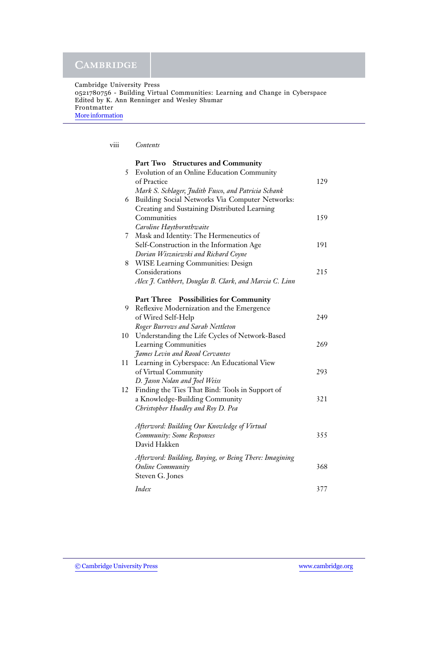| Cambridge University Press                                                   |
|------------------------------------------------------------------------------|
| 0521780756 - Building Virtual Communities: Learning and Change in Cyberspace |
| Edited by K. Ann Renninger and Wesley Shumar                                 |
| Frontmatter                                                                  |
| More information                                                             |

| 5  | Part Two Structures and Community<br>Evolution of an Online Education Community<br>of Practice                                                         | 129 |
|----|--------------------------------------------------------------------------------------------------------------------------------------------------------|-----|
| 6  | Mark S. Schlager, Judith Fusco, and Patricia Schank<br>Building Social Networks Via Computer Networks:<br>Creating and Sustaining Distributed Learning |     |
|    | Communities<br>Caroline Haythornthwaite                                                                                                                | 159 |
| 7  | Mask and Identity: The Hermeneutics of<br>Self-Construction in the Information Age                                                                     | 191 |
| 8  | Dorian Wiszniewski and Richard Coyne<br><b>WISE Learning Communities: Design</b>                                                                       |     |
|    | Considerations<br>Alex J. Cuthbert, Douglas B. Clark, and Marcia C. Linn                                                                               | 215 |
|    | <b>Possibilities for Community</b><br><b>Part Three</b>                                                                                                |     |
| 9  | Reflexive Modernization and the Emergence<br>of Wired Self-Help                                                                                        | 249 |
|    | Roger Burrows and Sarah Nettleton                                                                                                                      |     |
| 10 | Understanding the Life Cycles of Network-Based<br><b>Learning Communities</b><br>James Levin and Raoul Cervantes                                       | 269 |
| 11 | Learning in Cyberspace: An Educational View<br>of Virtual Community                                                                                    | 293 |
| 12 | D. Jason Nolan and Joel Weiss<br>Finding the Ties That Bind: Tools in Support of                                                                       |     |
|    | a Knowledge-Building Community<br>Christopher Hoadley and Roy D. Pea                                                                                   | 321 |
|    | Afterword: Building Our Knowledge of Virtual                                                                                                           |     |
|    | Community: Some Responses<br>David Hakken                                                                                                              | 355 |
|    | Afterword: Building, Buying, or Being There: Imagining<br><b>Online Community</b><br>Steven G. Jones                                                   | 368 |
|    | <b>Index</b>                                                                                                                                           | 377 |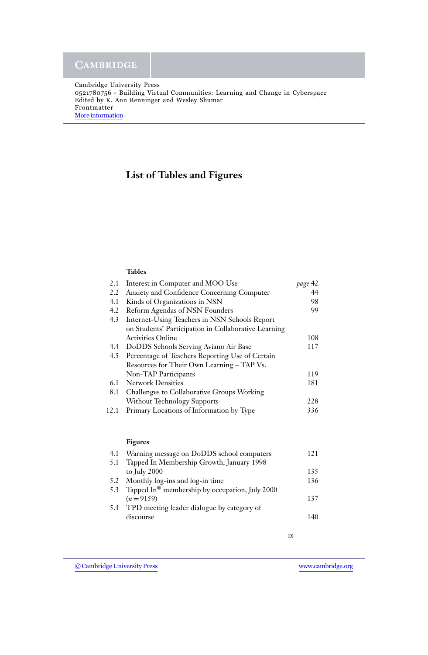# **List of Tables and Figures**

### **Tables**

| 2.1  | Interest in Computer and MOO Use                     | page 42 |
|------|------------------------------------------------------|---------|
| 2.2  | <b>Anxiety and Confidence Concerning Computer</b>    | 44      |
| 4.1  | Kinds of Organizations in NSN                        | 98      |
| 4.2  | Reform Agendas of NSN Founders                       | 99      |
| 4.3  | Internet-Using Teachers in NSN Schools Report        |         |
|      | on Students' Participation in Collaborative Learning |         |
|      | <b>Activities Online</b>                             | 108     |
| 4.4  | DoDDS Schools Serving Aviano Air Base                | 117     |
| 4.5  | Percentage of Teachers Reporting Use of Certain      |         |
|      | Resources for Their Own Learning - TAP Vs.           |         |
|      | <b>Non-TAP Participants</b>                          | 119     |
| 6.1  | <b>Network Densities</b>                             | 181     |
| 8.1  | Challenges to Collaborative Groups Working           |         |
|      | <b>Without Technology Supports</b>                   | 228     |
| 12.1 | Primary Locations of Information by Type             | 336     |
|      |                                                      |         |

#### **Figures**

|     | 4.1 Warning message on DoDDS school computers                  | 121 |
|-----|----------------------------------------------------------------|-----|
| 5.1 | Tapped In Membership Growth, January 1998                      |     |
|     | to July 2000                                                   | 135 |
|     | 5.2 Monthly log-ins and log-in time                            | 136 |
|     | 5.3 Tapped In <sup>®</sup> membership by occupation, July 2000 |     |
|     | $(n=9159)$                                                     | 137 |
|     | 5.4 TPD meeting leader dialogue by category of                 |     |
|     | discourse                                                      | 140 |
|     |                                                                |     |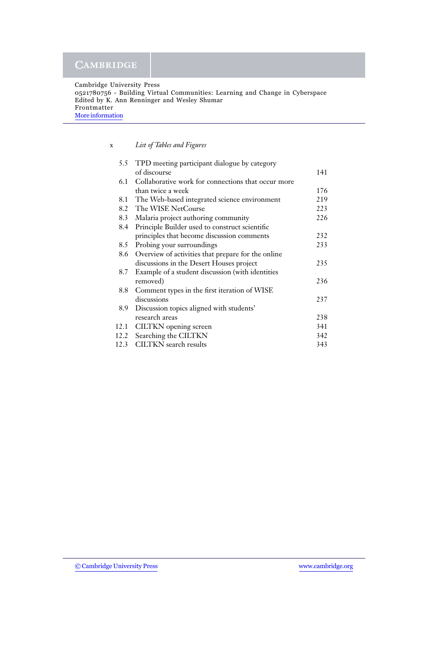| Cambridge University Press                                                   |  |
|------------------------------------------------------------------------------|--|
| 0521780756 - Building Virtual Communities: Learning and Change in Cyberspace |  |
| Edited by K. Ann Renninger and Wesley Shumar                                 |  |
| Frontmatter                                                                  |  |
| More information                                                             |  |

| List of Tables and Figures |
|----------------------------|
|                            |

| 5.5  | TPD meeting participant dialogue by category           |     |
|------|--------------------------------------------------------|-----|
|      | of discourse                                           | 141 |
|      | 6.1 Collaborative work for connections that occur more |     |
|      | than twice a week                                      | 176 |
|      | 8.1 The Web-based integrated science environment       | 219 |
|      | 8.2 The WISE NetCourse                                 | 223 |
| 8.3  | Malaria project authoring community                    | 226 |
| 8.4  | Principle Builder used to construct scientific         |     |
|      | principles that become discussion comments             | 232 |
| 8.5  | Probing your surroundings                              | 233 |
|      | 8.6 Overview of activities that prepare for the online |     |
|      | discussions in the Desert Houses project               | 235 |
| 8.7  | Example of a student discussion (with identities       |     |
|      | removed)                                               | 236 |
| 8.8  | Comment types in the first iteration of WISE           |     |
|      | discussions                                            | 237 |
| 8.9  | Discussion topics aligned with students'               |     |
|      | research areas                                         | 238 |
|      | 12.1 CILTKN opening screen                             | 341 |
|      | 12.2 Searching the CILTKN                              | 342 |
| 12.3 | <b>CILTKN</b> search results                           | 343 |
|      |                                                        |     |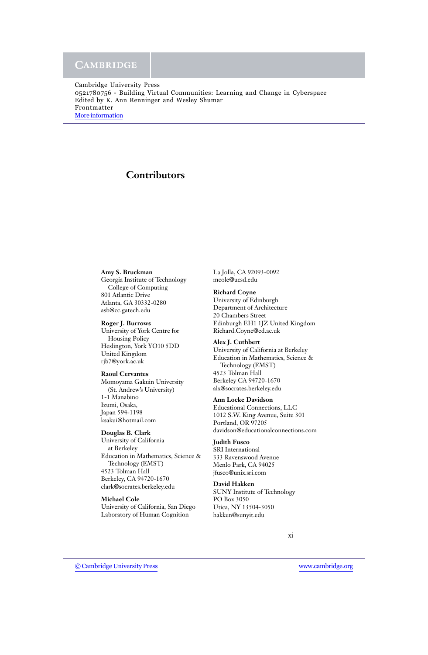# **Contributors**

#### **Amy S. Bruckman**

Georgia Institute of Technology College of Computing 801 Atlantic Drive Atlanta, GA 30332-0280 asb@cc.gatech.edu

**Roger J. Burrows** University of York Centre for Housing Policy Heslington, York YO10 5DD United Kingdom rjb7@york.ac.uk

#### **Raoul Cervantes**

Momoyama Gakuin University (St. Andrew's University) 1-1 Manabino Izumi, Osaka, Japan 594-1198 ksakui@hotmail.com

#### **Douglas B. Clark**

University of California at Berkeley Education in Mathematics, Science & Technology (EMST) 4523 Tolman Hall Berkeley, CA 94720-1670 clark@socrates.berkeley.edu

**Michael Cole** University of California, San Diego Laboratory of Human Cognition

La Jolla, CA 92093-0092 mcole@ucsd.edu

#### **Richard Coyne**

University of Edinburgh Department of Architecture 20 Chambers Street Edinburgh EH1 1JZ United Kingdom Richard.Coyne@ed.ac.uk

#### **Alex J. Cuthbert**

University of California at Berkeley Education in Mathematics, Science & Technology (EMST) 4523 Tolman Hall Berkeley CA 94720-1670 alx@socrates.berkeley.edu

#### **Ann Locke Davidson**

Educational Connections, LLC 1012 S.W. King Avenue, Suite 301 Portland, OR 97205 davidson@educationalconnections.com

**Judith Fusco** SRI International 333 Ravenswood Avenue Menlo Park, CA 94025 jfusco@unix.sri.com

**David Hakken** SUNY Institute of Technology PO Box 3050 Utica, NY 13504-3050 hakken@sunyit.edu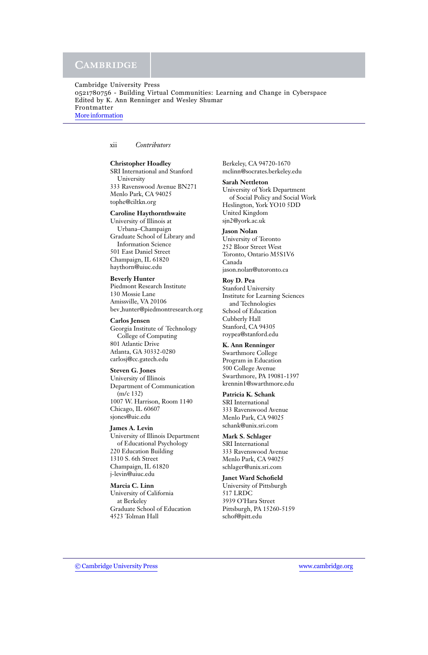xii *Contributors*

#### **Christopher Hoadley**

SRI International and Stanford University 333 Ravenswood Avenue BN271 Menlo Park, CA 94025 tophe@ciltkn.org

#### **Caroline Haythornthwaite**

University of Illinois at Urbana–Champaign Graduate School of Library and Information Science 501 East Daniel Street Champaign, IL 61820 haythorn@uiuc.edu

#### **Beverly Hunter**

Piedmont Research Institute 130 Mossie Lane Amissville, VA 20106 bev hunter@piedmontresearch.org

#### **Carlos Jensen**

Georgia Institute of Technology College of Computing 801 Atlantic Drive Atlanta, GA 30332-0280 carlosj@cc.gatech.edu

#### **Steven G. Jones**

University of Illinois Department of Communication (m/c 132) 1007 W. Harrison, Room 1140 Chicago, IL 60607 sjones@uic.edu

**James A. Levin** University of Illinois Department of Educational Psychology 220 Education Building 1310 S. 6th Street Champaign, IL 61820 j-levin@uiuc.edu

**Marcia C. Linn** University of California at Berkeley Graduate School of Education 4523 Tolman Hall

Berkeley, CA 94720-1670 mclinn@socrates.berkeley.edu

#### **Sarah Nettleton**

University of York Department of Social Policy and Social Work Heslington, York YO10 5DD United Kingdom sjn2@york.ac.uk

#### **Jason Nolan**

University of Toronto 252 Bloor Street West Toronto, Ontario M5S1V6 Canada jason.nolan@utoronto.ca

#### **Roy D. Pea**

Stanford University Institute for Learning Sciences and Technologies School of Education Cubberly Hall Stanford, CA 94305 roypea@stanford.edu

#### **K. Ann Renninger**

Swarthmore College Program in Education 500 College Avenue Swarthmore, PA 19081-1397 krennin1@swarthmore.edu

**Patricia K. Schank** SRI International

333 Ravenswood Avenue Menlo Park, CA 94025 schank@unix.sri.com

#### **Mark S. Schlager**

SRI International 333 Ravenswood Avenue Menlo Park, CA 94025 schlager@unix.sri.com

#### **Janet Ward Schofield**

University of Pittsburgh 517 LRDC 3939 O'Hara Street Pittsburgh, PA 15260-5159 schof@pitt.edu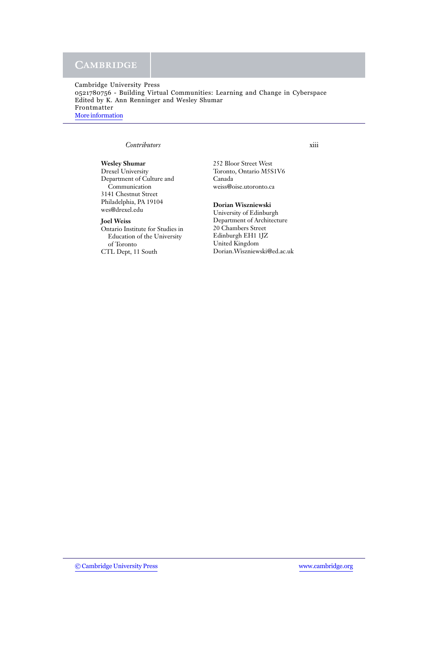*Contributors* xiii

**Wesley Shumar** Drexel University

Department of Culture and Communication 3141 Chestnut Street Philadelphia, PA 19104 wes@drexel.edu

**Joel Weiss**

Ontario Institute for Studies in Education of the University of Toronto CTL Dept, 11 South

252 Bloor Street West Toronto, Ontario M5S1V6 Canada weiss@oise.utoronto.ca

**Dorian Wiszniewski**

University of Edinburgh Department of Architecture 20 Chambers Street Edinburgh EH1 1JZ United Kingdom Dorian.Wiszniewski@ed.ac.uk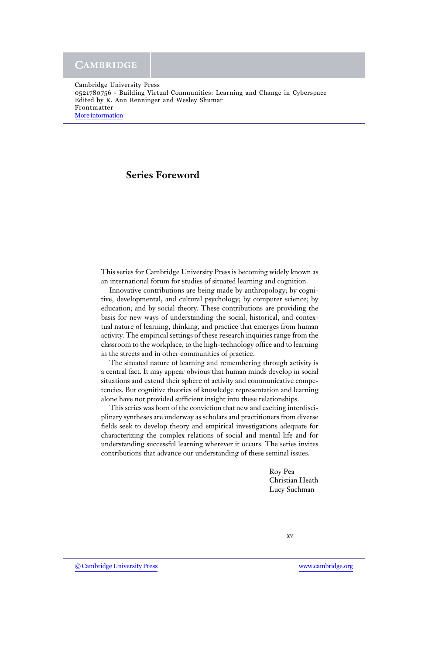### **Series Foreword**

This series for Cambridge University Press is becoming widely known as an international forum for studies of situated learning and cognition.

Innovative contributions are being made by anthropology; by cognitive, developmental, and cultural psychology; by computer science; by education; and by social theory. These contributions are providing the basis for new ways of understanding the social, historical, and contextual nature of learning, thinking, and practice that emerges from human activity. The empirical settings of these research inquiries range from the classroom to the workplace, to the high-technology office and to learning in the streets and in other communities of practice.

The situated nature of learning and remembering through activity is a central fact. It may appear obvious that human minds develop in social situations and extend their sphere of activity and communicative competencies. But cognitive theories of knowledge representation and learning alone have not provided sufficient insight into these relationships.

This series was born of the conviction that new and exciting interdisciplinary syntheses are underway as scholars and practitioners from diverse fields seek to develop theory and empirical investigations adequate for characterizing the complex relations of social and mental life and for understanding successful learning wherever it occurs. The series invites contributions that advance our understanding of these seminal issues.

> Roy Pea Christian Heath Lucy Suchman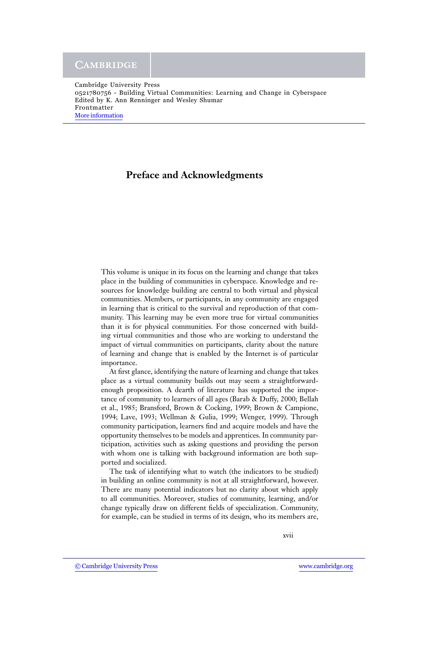# **Preface and Acknowledgments**

This volume is unique in its focus on the learning and change that takes place in the building of communities in cyberspace. Knowledge and resources for knowledge building are central to both virtual and physical communities. Members, or participants, in any community are engaged in learning that is critical to the survival and reproduction of that community. This learning may be even more true for virtual communities than it is for physical communities. For those concerned with building virtual communities and those who are working to understand the impact of virtual communities on participants, clarity about the nature of learning and change that is enabled by the Internet is of particular importance.

At first glance, identifying the nature of learning and change that takes place as a virtual community builds out may seem a straightforwardenough proposition. A dearth of literature has supported the importance of community to learners of all ages (Barab & Duffy, 2000; Bellah et al., 1985; Bransford, Brown & Cocking, 1999; Brown & Campione, 1994; Lave, 1993; Wellman & Gulia, 1999; Wenger, 1999). Through community participation, learners find and acquire models and have the opportunity themselves to be models and apprentices. In community participation, activities such as asking questions and providing the person with whom one is talking with background information are both supported and socialized.

The task of identifying what to watch (the indicators to be studied) in building an online community is not at all straightforward, however. There are many potential indicators but no clarity about which apply to all communities. Moreover, studies of community, learning, and/or change typically draw on different fields of specialization. Community, for example, can be studied in terms of its design, who its members are,

xvii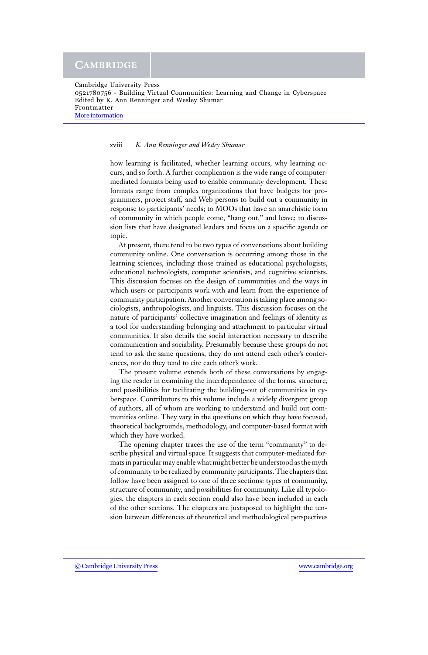### xviii *K. Ann Renninger and Wesley Shumar*

how learning is facilitated, whether learning occurs, why learning occurs, and so forth. A further complication is the wide range of computermediated formats being used to enable community development. These formats range from complex organizations that have budgets for programmers, project staff, and Web persons to build out a community in response to participants' needs; to MOOs that have an anarchistic form of community in which people come, "hang out," and leave; to discussion lists that have designated leaders and focus on a specific agenda or topic.

At present, there tend to be two types of conversations about building community online. One conversation is occurring among those in the learning sciences, including those trained as educational psychologists, educational technologists, computer scientists, and cognitive scientists. This discussion focuses on the design of communities and the ways in which users or participants work with and learn from the experience of community participation. Another conversation is taking place among sociologists, anthropologists, and linguists. This discussion focuses on the nature of participants' collective imagination and feelings of identity as a tool for understanding belonging and attachment to particular virtual communities. It also details the social interaction necessary to describe communication and sociability. Presumably because these groups do not tend to ask the same questions, they do not attend each other's conferences, nor do they tend to cite each other's work.

The present volume extends both of these conversations by engaging the reader in examining the interdependence of the forms, structure, and possibilities for facilitating the building-out of communities in cyberspace. Contributors to this volume include a widely divergent group of authors, all of whom are working to understand and build out communities online. They vary in the questions on which they have focused, theoretical backgrounds, methodology, and computer-based format with which they have worked.

The opening chapter traces the use of the term "community" to describe physical and virtual space. It suggests that computer-mediated formats in particular may enable what might better be understood as the myth of community to be realized by community participants. The chapters that follow have been assigned to one of three sections: types of community, structure of community, and possibilities for community. Like all typologies, the chapters in each section could also have been included in each of the other sections. The chapters are juxtaposed to highlight the tension between differences of theoretical and methodological perspectives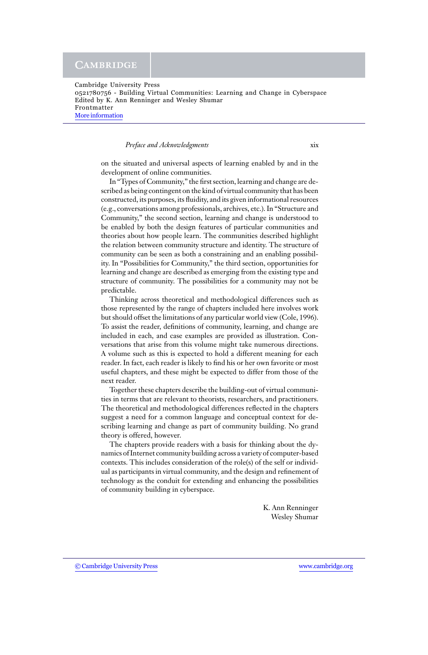#### *Preface and Acknowledgments* xix

on the situated and universal aspects of learning enabled by and in the development of online communities.

In "Types of Community," the first section, learning and change are described as being contingent on the kind of virtual community that has been constructed, its purposes, its fluidity, and its given informational resources (e.g., conversations among professionals, archives, etc.). In "Structure and Community," the second section, learning and change is understood to be enabled by both the design features of particular communities and theories about how people learn. The communities described highlight the relation between community structure and identity. The structure of community can be seen as both a constraining and an enabling possibility. In "Possibilities for Community," the third section, opportunities for learning and change are described as emerging from the existing type and structure of community. The possibilities for a community may not be predictable.

Thinking across theoretical and methodological differences such as those represented by the range of chapters included here involves work but should offset the limitations of any particular world view (Cole, 1996). To assist the reader, definitions of community, learning, and change are included in each, and case examples are provided as illustration. Conversations that arise from this volume might take numerous directions. A volume such as this is expected to hold a different meaning for each reader. In fact, each reader is likely to find his or her own favorite or most useful chapters, and these might be expected to differ from those of the next reader.

Together these chapters describe the building-out of virtual communities in terms that are relevant to theorists, researchers, and practitioners. The theoretical and methodological differences reflected in the chapters suggest a need for a common language and conceptual context for describing learning and change as part of community building. No grand theory is offered, however.

The chapters provide readers with a basis for thinking about the dynamics of Internet community building across a variety of computer-based contexts. This includes consideration of the role(s) of the self or individual as participants in virtual community, and the design and refinement of technology as the conduit for extending and enhancing the possibilities of community building in cyberspace.

> K. Ann Renninger Wesley Shumar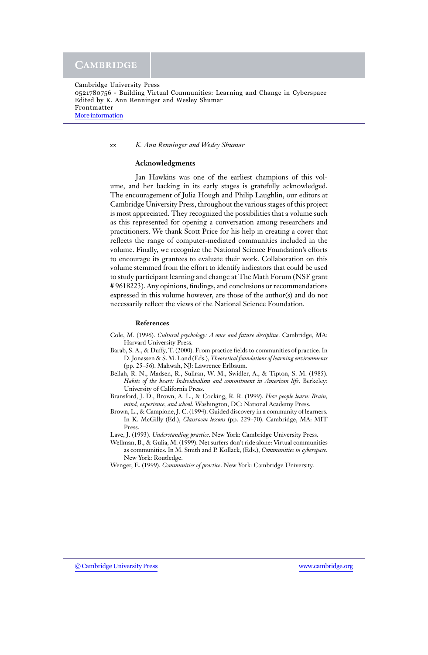xx *K. Ann Renninger and Wesley Shumar*

#### **Acknowledgments**

Jan Hawkins was one of the earliest champions of this volume, and her backing in its early stages is gratefully acknowledged. The encouragement of Julia Hough and Philip Laughlin, our editors at Cambridge University Press, throughout the various stages of this project is most appreciated. They recognized the possibilities that a volume such as this represented for opening a conversation among researchers and practitioners. We thank Scott Price for his help in creating a cover that reflects the range of computer-mediated communities included in the volume. Finally, we recognize the National Science Foundation's efforts to encourage its grantees to evaluate their work. Collaboration on this volume stemmed from the effort to identify indicators that could be used to study participant learning and change at The Math Forum (NSF grant # 9618223). Any opinions, findings, and conclusions or recommendations expressed in this volume however, are those of the author(s) and do not necessarily reflect the views of the National Science Foundation.

#### **References**

- Cole, M. (1996). *Cultural psychology: A once and future discipline*. Cambridge, MA: Harvard University Press.
- Barab, S. A., & Duffy, T. (2000). From practice fields to communities of practice. In D. Jonassen & S. M. Land (Eds.), *Theoretical foundations of learning environments* (pp. 25–56). Mahwah, NJ: Lawrence Erlbaum.
- Bellah, R. N., Madsen, R., Sullran, W. M., Swidler, A., & Tipton, S. M. (1985). *Habits of the heart: Individualism and commitment in American life*. Berkeley: University of California Press.
- Bransford, J. D., Brown, A. L., & Cocking, R. R. (1999). *How people learn: Brain, mind, experience, and school*. Washington, DC: National Academy Press.
- Brown, L., & Campione, J. C. (1994). Guided discovery in a community of learners. In K. McGilly (Ed.), *Classroom lessons* (pp. 229–70). Cambridge, MA: MIT Press.
- Lave, J. (1993). *Understanding practice*. New York: Cambridge University Press.
- Wellman, B., & Gulia, M. (1999). Net surfers don't ride alone: Virtual communities as communities. In M. Smith and P. Kollack, (Eds.), *Communities in cyberspace*. New York: Routledge.

Wenger, E. (1999). *Communities of practice*. New York: Cambridge University.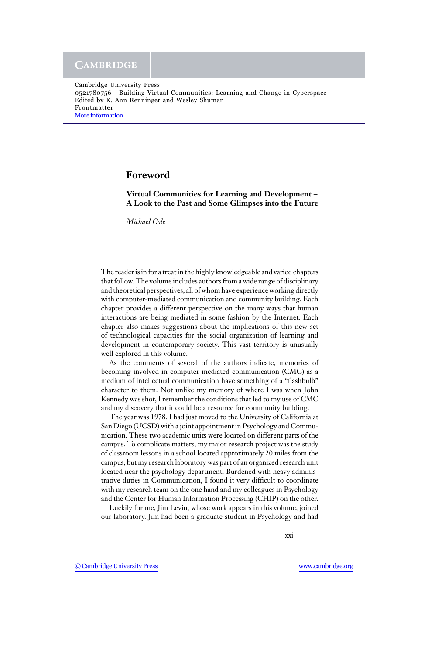## **Foreword**

**Virtual Communities for Learning and Development – A Look to the Past and Some Glimpses into the Future**

*Michael Cole*

The reader is in for a treat in the highly knowledgeable and varied chapters that follow. The volume includes authors from a wide range of disciplinary and theoretical perspectives, all of whom have experience working directly with computer-mediated communication and community building. Each chapter provides a different perspective on the many ways that human interactions are being mediated in some fashion by the Internet. Each chapter also makes suggestions about the implications of this new set of technological capacities for the social organization of learning and development in contemporary society. This vast territory is unusually well explored in this volume.

As the comments of several of the authors indicate, memories of becoming involved in computer-mediated communication (CMC) as a medium of intellectual communication have something of a "flashbulb" character to them. Not unlike my memory of where I was when John Kennedy was shot, I remember the conditions that led to my use of CMC and my discovery that it could be a resource for community building.

The year was 1978. I had just moved to the University of California at San Diego (UCSD) with a joint appointment in Psychology and Communication. These two academic units were located on different parts of the campus. To complicate matters, my major research project was the study of classroom lessons in a school located approximately 20 miles from the campus, but my research laboratory was part of an organized research unit located near the psychology department. Burdened with heavy administrative duties in Communication, I found it very difficult to coordinate with my research team on the one hand and my colleagues in Psychology and the Center for Human Information Processing (CHIP) on the other.

Luckily for me, Jim Levin, whose work appears in this volume, joined our laboratory. Jim had been a graduate student in Psychology and had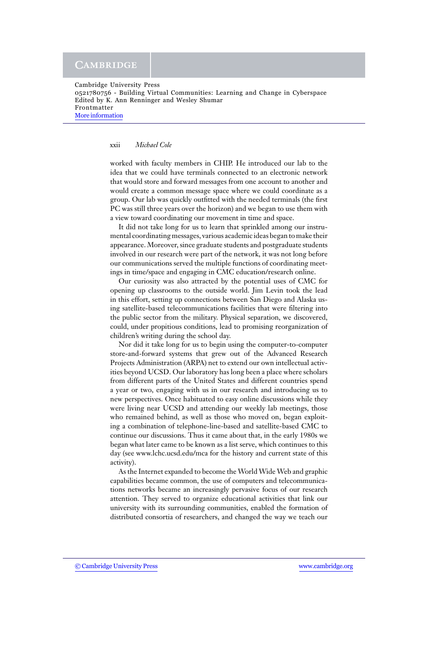#### xxii *Michael Cole*

worked with faculty members in CHIP. He introduced our lab to the idea that we could have terminals connected to an electronic network that would store and forward messages from one account to another and would create a common message space where we could coordinate as a group. Our lab was quickly outfitted with the needed terminals (the first PC was still three years over the horizon) and we began to use them with a view toward coordinating our movement in time and space.

It did not take long for us to learn that sprinkled among our instrumental coordinating messages, various academic ideas began to make their appearance. Moreover, since graduate students and postgraduate students involved in our research were part of the network, it was not long before our communications served the multiple functions of coordinating meetings in time/space and engaging in CMC education/research online.

Our curiosity was also attracted by the potential uses of CMC for opening up classrooms to the outside world. Jim Levin took the lead in this effort, setting up connections between San Diego and Alaska using satellite-based telecommunications facilities that were filtering into the public sector from the military. Physical separation, we discovered, could, under propitious conditions, lead to promising reorganization of children's writing during the school day.

Nor did it take long for us to begin using the computer-to-computer store-and-forward systems that grew out of the Advanced Research Projects Administration (ARPA) net to extend our own intellectual activities beyond UCSD. Our laboratory has long been a place where scholars from different parts of the United States and different countries spend a year or two, engaging with us in our research and introducing us to new perspectives. Once habituated to easy online discussions while they were living near UCSD and attending our weekly lab meetings, those who remained behind, as well as those who moved on, began exploiting a combination of telephone-line-based and satellite-based CMC to continue our discussions. Thus it came about that, in the early 1980s we began what later came to be known as a list serve, which continues to this day (see www.lchc.ucsd.edu/mca for the history and current state of this activity).

As the Internet expanded to become the World Wide Web and graphic capabilities became common, the use of computers and telecommunications networks became an increasingly pervasive focus of our research attention. They served to organize educational activities that link our university with its surrounding communities, enabled the formation of distributed consortia of researchers, and changed the way we teach our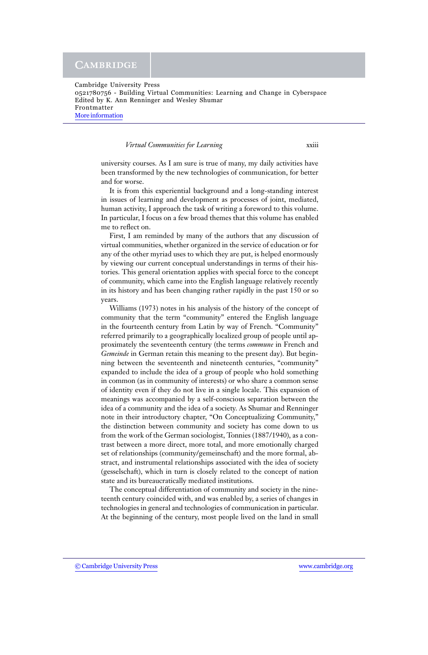university courses. As I am sure is true of many, my daily activities have been transformed by the new technologies of communication, for better and for worse.

It is from this experiential background and a long-standing interest in issues of learning and development as processes of joint, mediated, human activity, I approach the task of writing a foreword to this volume. In particular, I focus on a few broad themes that this volume has enabled me to reflect on.

First, I am reminded by many of the authors that any discussion of virtual communities, whether organized in the service of education or for any of the other myriad uses to which they are put, is helped enormously by viewing our current conceptual understandings in terms of their histories. This general orientation applies with special force to the concept of community, which came into the English language relatively recently in its history and has been changing rather rapidly in the past 150 or so years.

Williams (1973) notes in his analysis of the history of the concept of community that the term "community" entered the English language in the fourteenth century from Latin by way of French. "Community" referred primarily to a geographically localized group of people until approximately the seventeenth century (the terms *commune* in French and *Gemeinde* in German retain this meaning to the present day). But beginning between the seventeenth and nineteenth centuries, "community" expanded to include the idea of a group of people who hold something in common (as in community of interests) or who share a common sense of identity even if they do not live in a single locale. This expansion of meanings was accompanied by a self-conscious separation between the idea of a community and the idea of a society. As Shumar and Renninger note in their introductory chapter, "On Conceptualizing Community," the distinction between community and society has come down to us from the work of the German sociologist, Tonnies (1887/1940), as a contrast between a more direct, more total, and more emotionally charged set of relationships (community/gemeinschaft) and the more formal, abstract, and instrumental relationships associated with the idea of society (gesselschaft), which in turn is closely related to the concept of nation state and its bureaucratically mediated institutions.

The conceptual differentiation of community and society in the nineteenth century coincided with, and was enabled by, a series of changes in technologies in general and technologies of communication in particular. At the beginning of the century, most people lived on the land in small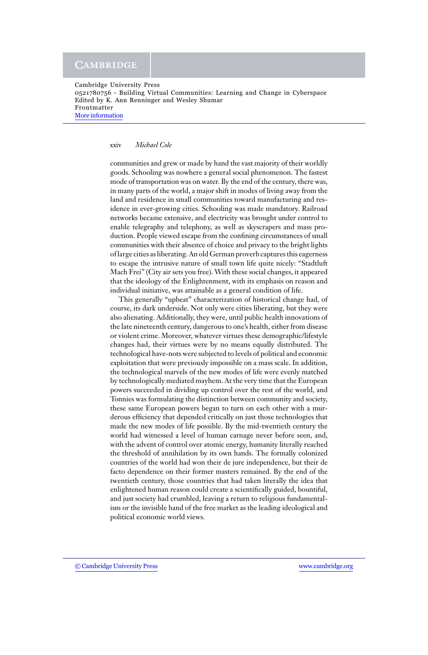#### xxiv *Michael Cole*

communities and grew or made by hand the vast majority of their worldly goods. Schooling was nowhere a general social phenomenon. The fastest mode of transportation was on water. By the end of the century, there was, in many parts of the world, a major shift in modes of living away from the land and residence in small communities toward manufacturing and residence in ever-growing cities. Schooling was made mandatory. Railroad networks became extensive, and electricity was brought under control to enable telegraphy and telephony, as well as skyscrapers and mass production. People viewed escape from the confining circumstances of small communities with their absence of choice and privacy to the bright lights of large cities as liberating. An old German proverb captures this eagerness to escape the intrusive nature of small town life quite nicely: "Stadtluft Mach Frei" (City air sets you free). With these social changes, it appeared that the ideology of the Enlightenment, with its emphasis on reason and individual initiative, was attainable as a general condition of life.

This generally "upbeat" characterization of historical change had, of course, its dark underside. Not only were cities liberating, but they were also alienating. Additionally, they were, until public health innovations of the late nineteenth century, dangerous to one's health, either from disease or violent crime. Moreover, whatever virtues these demographic/lifestyle changes had, their virtues were by no means equally distributed. The technological have-nots were subjected to levels of political and economic exploitation that were previously impossible on a mass scale. In addition, the technological marvels of the new modes of life were evenly matched by technologically mediated mayhem. At the very time that the European powers succeeded in dividing up control over the rest of the world, and Tonnies was formulating the distinction between community and society, these same European powers began to turn on each other with a murderous efficiency that depended critically on just those technologies that made the new modes of life possible. By the mid-twentieth century the world had witnessed a level of human carnage never before seen, and, with the advent of control over atomic energy, humanity literally reached the threshold of annihilation by its own hands. The formally colonized countries of the world had won their de jure independence, but their de facto dependence on their former masters remained. By the end of the twentieth century, those countries that had taken literally the idea that enlightened human reason could create a scientifically guided, bountiful, and just society had crumbled, leaving a return to religious fundamentalism or the invisible hand of the free market as the leading ideological and political economic world views.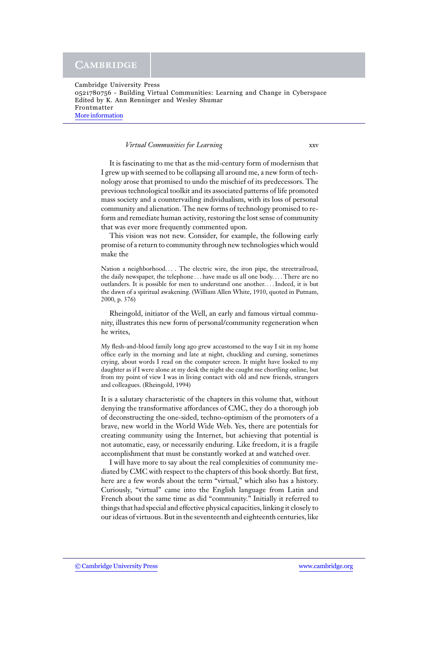#### *Virtual Communities for Learning* xxv

It is fascinating to me that as the mid-century form of modernism that I grew up with seemed to be collapsing all around me, a new form of technology arose that promised to undo the mischief of its predecessors. The previous technological toolkit and its associated patterns of life promoted mass society and a countervailing individualism, with its loss of personal community and alienation. The new forms of technology promised to reform and remediate human activity, restoring the lost sense of community that was ever more frequently commented upon.

This vision was not new. Consider, for example, the following early promise of a return to community through new technologies which would make the

Nation a neighborhood... . The electric wire, the iron pipe, the streetrailroad, the daily newspaper, the telephone ... have made us all one body. ... There are no outlanders. It is possible for men to understand one another. ...Indeed, it is but the dawn of a spiritual awakening. (William Allen White, 1910, quoted in Putnam, 2000, p. 376)

Rheingold, initiator of the Well, an early and famous virtual community, illustrates this new form of personal/community regeneration when he writes,

My flesh-and-blood family long ago grew accustomed to the way I sit in my home office early in the morning and late at night, chuckling and cursing, sometimes crying, about words I read on the computer screen. It might have looked to my daughter as if I were alone at my desk the night she caught me chortling online, but from my point of view I was in living contact with old and new friends, strangers and colleagues. (Rheingold, 1994)

It is a salutary characteristic of the chapters in this volume that, without denying the transformative affordances of CMC, they do a thorough job of deconstructing the one-sided, techno-optimism of the promoters of a brave, new world in the World Wide Web. Yes, there are potentials for creating community using the Internet, but achieving that potential is not automatic, easy, or necessarily enduring. Like freedom, it is a fragile accomplishment that must be constantly worked at and watched over.

I will have more to say about the real complexities of community mediated by CMC with respect to the chapters of this book shortly. But first, here are a few words about the term "virtual," which also has a history. Curiously, "virtual" came into the English language from Latin and French about the same time as did "community." Initially it referred to things that had special and effective physical capacities, linking it closely to our ideas of virtuous. But in the seventeenth and eighteenth centuries, like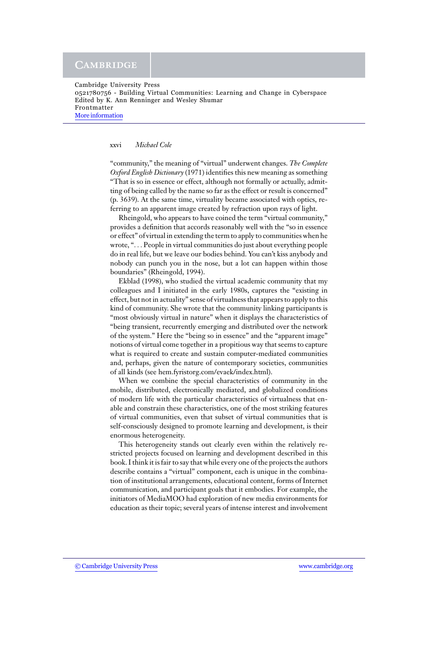#### xxvi *Michael Cole*

"community," the meaning of "virtual" underwent changes. *The Complete Oxford English Dictionary* (1971) identifies this new meaning as something "That is so in essence or effect, although not formally or actually, admitting of being called by the name so far as the effect or result is concerned" (p. 3639). At the same time, virtuality became associated with optics, referring to an apparent image created by refraction upon rays of light.

Rheingold, who appears to have coined the term "virtual community," provides a definition that accords reasonably well with the "so in essence or effect" of virtual in extending the term to apply to communities when he wrote, "... People in virtual communities do just about everything people do in real life, but we leave our bodies behind. You can't kiss anybody and nobody can punch you in the nose, but a lot can happen within those boundaries" (Rheingold, 1994).

Ekblad (1998), who studied the virtual academic community that my colleagues and I initiated in the early 1980s, captures the "existing in effect, but not in actuality" sense of virtualness that appears to apply to this kind of community. She wrote that the community linking participants is "most obviously virtual in nature" when it displays the characteristics of "being transient, recurrently emerging and distributed over the network of the system." Here the "being so in essence" and the "apparent image" notions of virtual come together in a propitious way that seems to capture what is required to create and sustain computer-mediated communities and, perhaps, given the nature of contemporary societies, communities of all kinds (see hem.fyristorg.com/evaek/index.html).

When we combine the special characteristics of community in the mobile, distributed, electronically mediated, and globalized conditions of modern life with the particular characteristics of virtualness that enable and constrain these characteristics, one of the most striking features of virtual communities, even that subset of virtual communities that is self-consciously designed to promote learning and development, is their enormous heterogeneity.

This heterogeneity stands out clearly even within the relatively restricted projects focused on learning and development described in this book. I think it is fair to say that while every one of the projects the authors describe contains a "virtual" component, each is unique in the combination of institutional arrangements, educational content, forms of Internet communication, and participant goals that it embodies. For example, the initiators of MediaMOO had exploration of new media environments for education as their topic; several years of intense interest and involvement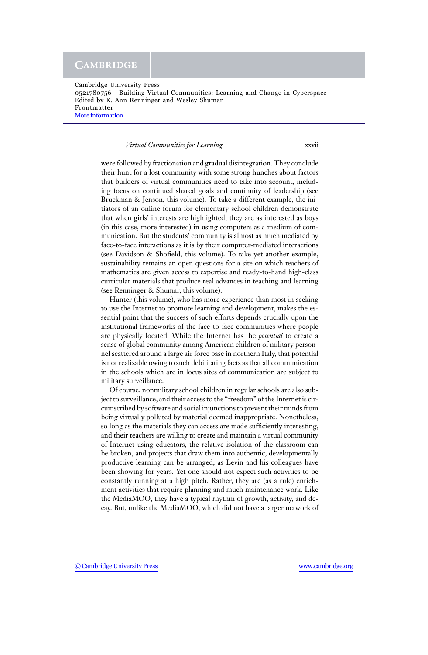#### *Virtual Communities for Learning* xxvii

were followed by fractionation and gradual disintegration. They conclude their hunt for a lost community with some strong hunches about factors that builders of virtual communities need to take into account, including focus on continued shared goals and continuity of leadership (see Bruckman & Jenson, this volume). To take a different example, the initiators of an online forum for elementary school children demonstrate that when girls' interests are highlighted, they are as interested as boys (in this case, more interested) in using computers as a medium of communication. But the students' community is almost as much mediated by face-to-face interactions as it is by their computer-mediated interactions (see Davidson & Shofield, this volume). To take yet another example, sustainability remains an open questions for a site on which teachers of mathematics are given access to expertise and ready-to-hand high-class curricular materials that produce real advances in teaching and learning (see Renninger & Shumar, this volume).

Hunter (this volume), who has more experience than most in seeking to use the Internet to promote learning and development, makes the essential point that the success of such efforts depends crucially upon the institutional frameworks of the face-to-face communities where people are physically located. While the Internet has the *potential* to create a sense of global community among American children of military personnel scattered around a large air force base in northern Italy, that potential is not realizable owing to such debilitating facts as that all communication in the schools which are in locus sites of communication are subject to military surveillance.

Of course, nonmilitary school children in regular schools are also subject to surveillance, and their access to the "freedom" of the Internet is circumscribed by software and social injunctions to prevent their minds from being virtually polluted by material deemed inappropriate. Nonetheless, so long as the materials they can access are made sufficiently interesting, and their teachers are willing to create and maintain a virtual community of Internet-using educators, the relative isolation of the classroom can be broken, and projects that draw them into authentic, developmentally productive learning can be arranged, as Levin and his colleagues have been showing for years. Yet one should not expect such activities to be constantly running at a high pitch. Rather, they are (as a rule) enrichment activities that require planning and much maintenance work. Like the MediaMOO, they have a typical rhythm of growth, activity, and decay. But, unlike the MediaMOO, which did not have a larger network of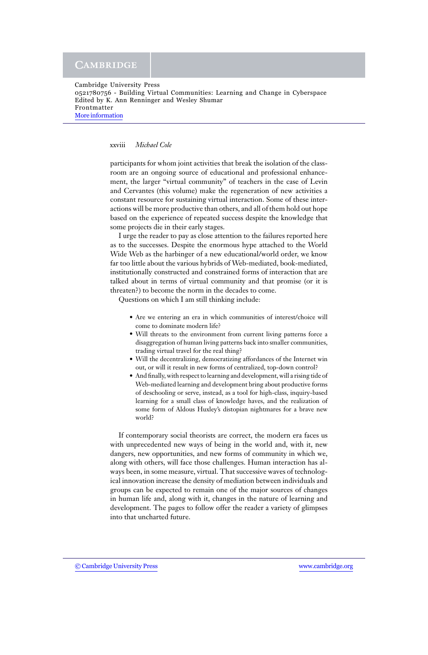### xxviii *Michael Cole*

participants for whom joint activities that break the isolation of the classroom are an ongoing source of educational and professional enhancement, the larger "virtual community" of teachers in the case of Levin and Cervantes (this volume) make the regeneration of new activities a constant resource for sustaining virtual interaction. Some of these interactions will be more productive than others, and all of them hold out hope based on the experience of repeated success despite the knowledge that some projects die in their early stages.

I urge the reader to pay as close attention to the failures reported here as to the successes. Despite the enormous hype attached to the World Wide Web as the harbinger of a new educational/world order, we know far too little about the various hybrids of Web-mediated, book-mediated, institutionally constructed and constrained forms of interaction that are talked about in terms of virtual community and that promise (or it is threaten?) to become the norm in the decades to come.

Questions on which I am still thinking include:

- Are we entering an era in which communities of interest/choice will come to dominate modern life?
- Will threats to the environment from current living patterns force a disaggregation of human living patterns back into smaller communities, trading virtual travel for the real thing?
- Will the decentralizing, democratizing affordances of the Internet win out, or will it result in new forms of centralized, top-down control?
- And finally, with respect to learning and development, will a rising tide of Web-mediated learning and development bring about productive forms of deschooling or serve, instead, as a tool for high-class, inquiry-based learning for a small class of knowledge haves, and the realization of some form of Aldous Huxley's distopian nightmares for a brave new world?

If contemporary social theorists are correct, the modern era faces us with unprecedented new ways of being in the world and, with it, new dangers, new opportunities, and new forms of community in which we, along with others, will face those challenges. Human interaction has always been, in some measure, virtual. That successive waves of technological innovation increase the density of mediation between individuals and groups can be expected to remain one of the major sources of changes in human life and, along with it, changes in the nature of learning and development. The pages to follow offer the reader a variety of glimpses into that uncharted future.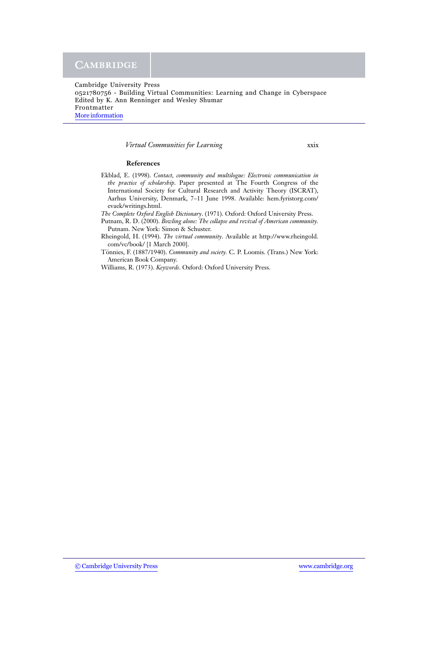### *Virtual Communities for Learning* xxix

#### **References**

- Ekblad, E. (1998). *Contact, community and multilogue: Electronic communication in the practice of scholarship*. Paper presented at The Fourth Congress of the International Society for Cultural Research and Activity Theory (ISCRAT), Aarhus University, Denmark, 7–11 June 1998. Available: hem.fyristorg.com/ evaek/writings.html.
- *The Complete Oxford English Dictionary*. (1971). Oxford: Oxford University Press.
- Putnam, R. D. (2000). *Bowling alone: The collapse and revival of American community.* Putnam. New York: Simon & Schuster.
- Rheingold, H. (1994). *The virtual community*. Available at http://www.rheingold. com/vc/book/ [1 March 2000].
- Tönnies, F. (1887/1940). *Community and society*. C. P. Loomis. (Trans.) New York: American Book Company.

Williams, R. (1973). *Keywords*. Oxford: Oxford University Press.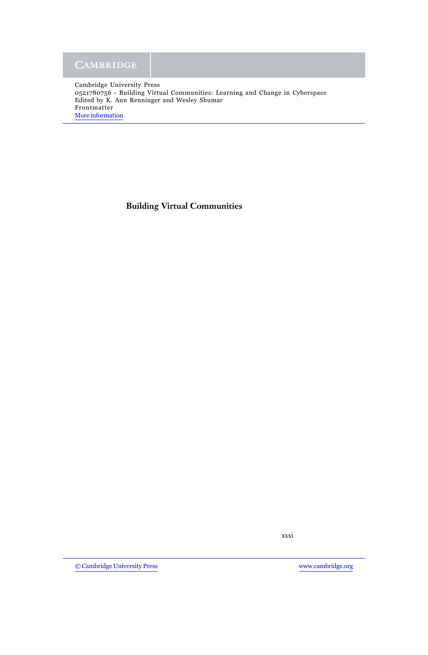**Building Virtual Communities**

xxxi